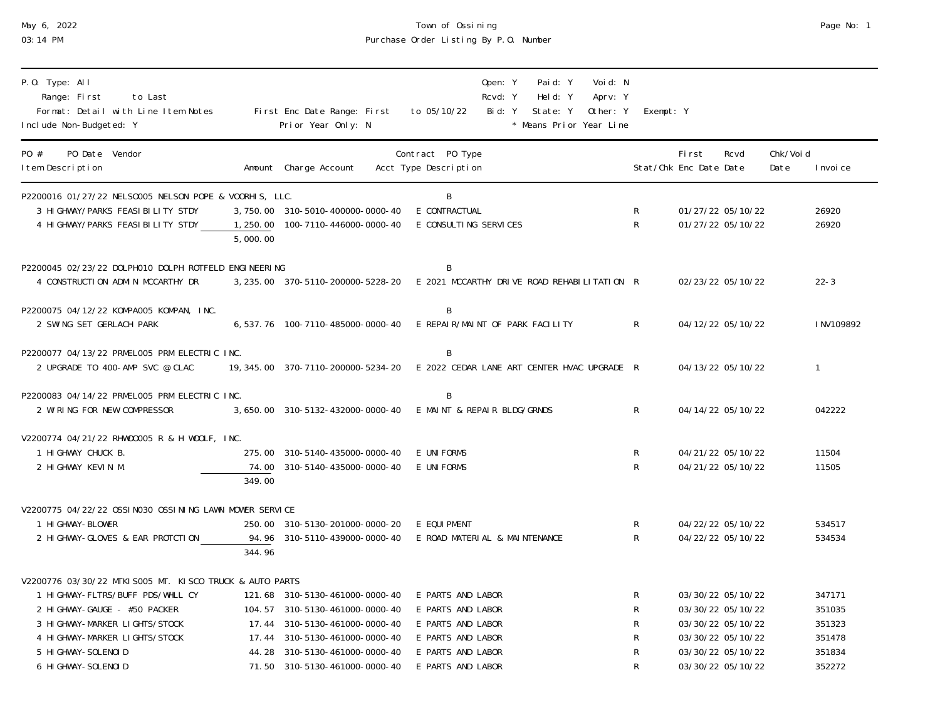| May 6, | 2022 |
|--------|------|
|        |      |

# May 6, 2022 Town of Ossining Page No: 1 03:14 PM Purchase Order Listing By P.O. Number

| P.O. Type: All<br>Range: First<br>to Last<br>Format: Detail with Line Item Notes<br>Include Non-Budgeted: Y                                                                                                               |          | First Enc Date Range: First<br>Prior Year Only: N                                                                                                                   | to 05/10/22                                                                                           | Open: Y<br>Rcvd: Y<br>Bid: Y | Paid: Y<br>Held: Y<br>State: Y | Voi d: N<br>Aprv: Y<br>Other: Y<br>* Means Prior Year Line | Exempt: Y                                     |                                 |                                                                                                       |                   |                                                |
|---------------------------------------------------------------------------------------------------------------------------------------------------------------------------------------------------------------------------|----------|---------------------------------------------------------------------------------------------------------------------------------------------------------------------|-------------------------------------------------------------------------------------------------------|------------------------------|--------------------------------|------------------------------------------------------------|-----------------------------------------------|---------------------------------|-------------------------------------------------------------------------------------------------------|-------------------|------------------------------------------------|
| PO #<br>PO Date Vendor<br>I tem Description                                                                                                                                                                               |          | Amount Charge Account                                                                                                                                               | Contract PO Type<br>Acct Type Description                                                             |                              |                                |                                                            |                                               | First<br>Stat/Chk Enc Date Date | Rcvd                                                                                                  | Chk/Voi d<br>Date | I nvoi ce                                      |
| P2200016 01/27/22 NELS0005 NELSON POPE & VOORHIS, LLC.<br>3 HIGHWAY/PARKS FEASIBILITY STDY<br>4 HIGHWAY/PARKS FEASIBILITY STDY                                                                                            | 5,000.00 | 3, 750. 00 310-5010-400000-0000-40<br>1, 250.00  100-7110-446000-0000-40                                                                                            | B<br>E CONTRACTUAL<br>E CONSULTING SERVICES                                                           |                              |                                |                                                            | ${\sf R}$<br>$\mathsf{R}$                     |                                 | 01/27/22 05/10/22<br>01/27/22 05/10/22                                                                |                   | 26920<br>26920                                 |
| P2200045 02/23/22 DOLPH010 DOLPH ROTFELD ENGINEERING<br>4 CONSTRUCTION ADMIN MCCARTHY DR                                                                                                                                  |          | 3, 235.00 370-5110-200000-5228-20 E 2021 MCCARTHY DRIVE ROAD REHABILITATION R                                                                                       | B                                                                                                     |                              |                                |                                                            |                                               |                                 | 02/23/22 05/10/22                                                                                     |                   | $22 - 3$                                       |
| P2200075 04/12/22 KOMPA005 KOMPAN, INC.<br>2 SWING SET GERLACH PARK                                                                                                                                                       |          | 6, 537. 76 100-7110-485000-0000-40                                                                                                                                  | B<br>E REPAIR/MAINT OF PARK FACILITY                                                                  |                              |                                |                                                            | R                                             |                                 | 04/12/22 05/10/22                                                                                     |                   | INV109892                                      |
| P2200077 04/13/22 PRMEL005 PRM ELECTRIC INC.<br>2 UPGRADE TO 400-AMP SVC @ CLAC                                                                                                                                           |          | 19,345.00 370-7110-200000-5234-20 E 2022 CEDAR LANE ART CENTER HVAC UPGRADE R                                                                                       | B                                                                                                     |                              |                                |                                                            |                                               |                                 | 04/13/22 05/10/22                                                                                     |                   | $\mathbf{1}$                                   |
| P2200083 04/14/22 PRMEL005 PRM ELECTRIC INC.<br>2 WIRING FOR NEW COMPRESSOR                                                                                                                                               |          | 3, 650.00 310-5132-432000-0000-40                                                                                                                                   | B<br>E MAINT & REPAIR BLDG/GRNDS                                                                      |                              |                                |                                                            | $\mathsf{R}$                                  |                                 | 04/14/22 05/10/22                                                                                     |                   | 042222                                         |
| V2200774 04/21/22 RHW00005 R & H WOOLF, INC.<br>1 HIGHWAY CHUCK B.<br>2 HIGHWAY KEVIN M.                                                                                                                                  | 349.00   | 275.00 310-5140-435000-0000-40<br>74.00 310-5140-435000-0000-40                                                                                                     | E UNIFORMS<br>E UNIFORMS                                                                              |                              |                                |                                                            | R<br>$\mathsf{R}$                             |                                 | 04/21/22 05/10/22<br>04/21/22 05/10/22                                                                |                   | 11504<br>11505                                 |
| V2200775 04/22/22 OSSI NO30 OSSI NI NG LAWN MOWER SERVICE<br>1 HI GHWAY-BLOWER<br>2 HI GHWAY-GLOVES & EAR PROTCTION                                                                                                       | 344.96   | 250.00 310-5130-201000-0000-20<br>94.96 310-5110-439000-0000-40                                                                                                     | E EQUI PMENT<br>E ROAD MATERIAL & MAINTENANCE                                                         |                              |                                |                                                            | R<br>$\mathsf{R}$                             |                                 | 04/22/22 05/10/22<br>04/22/22 05/10/22                                                                |                   | 534517<br>534534                               |
| V2200776 03/30/22 MTKI S005 MT. KISCO TRUCK & AUTO PARTS<br>1 HIGHWAY-FLTRS/BUFF PDS/WHLL CY<br>2 HIGHWAY-GAUGE - #50 PACKER<br>3 HI GHWAY-MARKER LI GHTS/STOCK<br>4 HI GHWAY-MARKER LI GHTS/STOCK<br>5 HI GHWAY-SOLENOID |          | 121.68 310-5130-461000-0000-40<br>104.57 310-5130-461000-0000-40<br>17.44 310-5130-461000-0000-40<br>17.44 310-5130-461000-0000-40<br>44.28 310-5130-461000-0000-40 | E PARTS AND LABOR<br>E PARTS AND LABOR<br>E PARTS AND LABOR<br>E PARTS AND LABOR<br>E PARTS AND LABOR |                              |                                |                                                            | R<br>R<br>${\sf R}$<br>${\sf R}$<br>${\sf R}$ |                                 | 03/30/22 05/10/22<br>03/30/22 05/10/22<br>03/30/22 05/10/22<br>03/30/22 05/10/22<br>03/30/22 05/10/22 |                   | 347171<br>351035<br>351323<br>351478<br>351834 |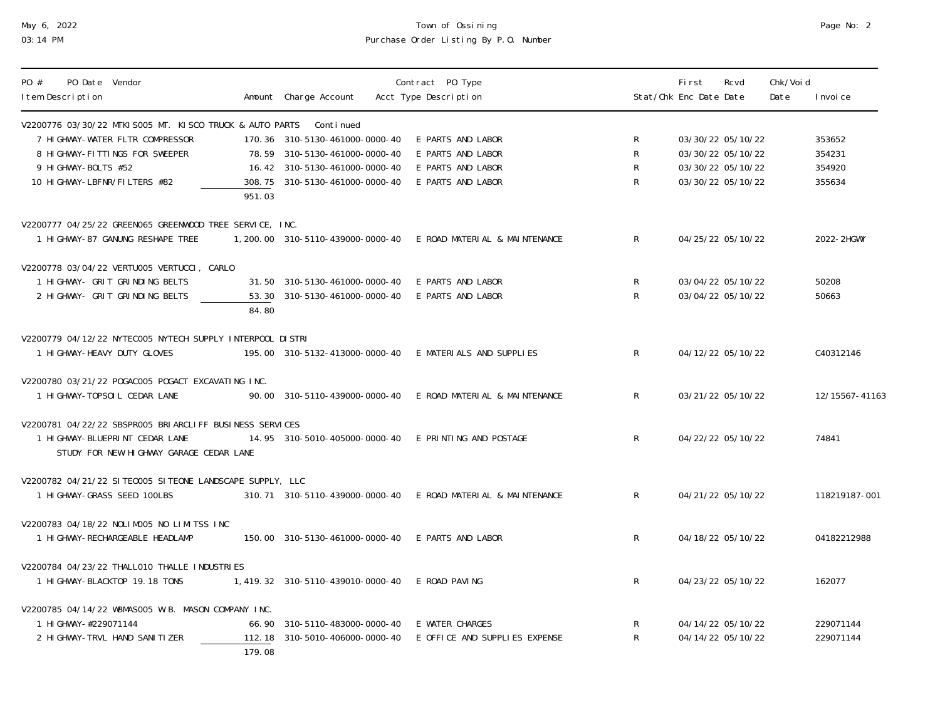# May 6, 2022 Town of Ossining Page No: 2 03:14 PM Purchase Order Listing By P.O. Number

| Page No: | 2 |
|----------|---|
|          |   |

| PO Date Vendor<br>PO #<br>I tem Description                                                                                             | Amount Charge Account                                           | Contract PO Type<br>Acct Type Description        |                   | First<br>Stat/Chk Enc Date Date        | Rcvd | Chk/Voi d<br>Date | I nvoi ce              |
|-----------------------------------------------------------------------------------------------------------------------------------------|-----------------------------------------------------------------|--------------------------------------------------|-------------------|----------------------------------------|------|-------------------|------------------------|
| V2200776 03/30/22 MTKI S005 MT. KISCO TRUCK & AUTO PARTS Continued<br>7 HIGHWAY-WATER FLTR COMPRESSOR<br>8 HIGHWAY-FITTINGS FOR SWEEPER | 170.36 310-5130-461000-0000-40<br>78.59 310-5130-461000-0000-40 | E PARTS AND LABOR<br>E PARTS AND LABOR           | R<br>${\sf R}$    | 03/30/22 05/10/22<br>03/30/22 05/10/22 |      |                   | 353652<br>354231       |
| 9 HI GHWAY-BOLTS #52<br>10 HIGHWAY-LBFNR/FILTERS #82<br>951.03                                                                          | 16.42 310-5130-461000-0000-40<br>308.75 310-5130-461000-0000-40 | E PARTS AND LABOR<br>E PARTS AND LABOR           | ${\sf R}$<br>R    | 03/30/22 05/10/22<br>03/30/22 05/10/22 |      |                   | 354920<br>355634       |
| V2200777 04/25/22 GREEN065 GREENWOOD TREE SERVICE, INC.<br>1 HI GHWAY-87 GANUNG RESHAPE TREE                                            | 1, 200. 00 310-5110-439000-0000-40                              | E ROAD MATERIAL & MAINTENANCE                    | $\mathsf R$       | 04/25/22 05/10/22                      |      |                   | 2022-2HGWY             |
| V2200778 03/04/22 VERTU005 VERTUCCI, CARLO<br>1 HIGHWAY- GRIT GRINDING BELTS<br>2 HIGHWAY- GRIT GRINDING BELTS<br>84.80                 | 31.50 310-5130-461000-0000-40<br>53.30 310-5130-461000-0000-40  | E PARTS AND LABOR<br>E PARTS AND LABOR           | R<br>$\mathsf{R}$ | 03/04/22 05/10/22<br>03/04/22 05/10/22 |      |                   | 50208<br>50663         |
| V2200779 04/12/22 NYTEC005 NYTECH SUPPLY INTERPOOL DISTRI<br>1 HI GHWAY-HEAVY DUTY GLOVES                                               | 195.00 310-5132-413000-0000-40                                  | E MATERIALS AND SUPPLIES                         | R                 | 04/12/22 05/10/22                      |      |                   | C40312146              |
| V2200780 03/21/22 POGACOO5 POGACT EXCAVATING INC.<br>1 HI GHWAY-TOPSOI L CEDAR LANE                                                     | 90.00 310-5110-439000-0000-40                                   | E ROAD MATERIAL & MAINTENANCE                    | $\mathsf{R}$      | 03/21/22 05/10/22                      |      |                   | 12/15567-41163         |
| V2200781_04/22/22_SBSPR005_BRIARCLIFF_BUSINESS_SERVICES<br>1 HI GHWAY-BLUEPRI NT CEDAR LANE<br>STUDY FOR NEW HIGHWAY GARAGE CEDAR LANE  | 14.95 310-5010-405000-0000-40                                   | E PRINTING AND POSTAGE                           | $\mathsf{R}$      | 04/22/22 05/10/22                      |      |                   | 74841                  |
| V2200782 04/21/22 SITE0005 SITEONE LANDSCAPE SUPPLY, LLC<br>1 HIGHWAY-GRASS SEED 100LBS                                                 | 310.71 310-5110-439000-0000-40                                  | E ROAD MATERIAL & MAINTENANCE                    | $\mathsf{R}$      | 04/21/22 05/10/22                      |      |                   | 118219187-001          |
| V2200783 04/18/22 NOLIMO05 NO LIMITSS INC<br>1 HI GHWAY-RECHARGEABLE HEADLAMP                                                           | 150.00 310-5130-461000-0000-40                                  | E PARTS AND LABOR                                | $\mathsf{R}$      | 04/18/22 05/10/22                      |      |                   | 04182212988            |
| V2200784 04/23/22 THALL010 THALLE INDUSTRIES<br>1 HI GHWAY-BLACKTOP 19.18 TONS                                                          | 1, 419. 32 310-5110-439010-0000-40                              | E ROAD PAVING                                    | R                 | 04/23/22 05/10/22                      |      |                   | 162077                 |
| V2200785 04/14/22 WBMAS005 W.B. MASON COMPANY INC.<br>1 HI GHWAY-#229071144<br>2 HI GHWAY-TRVL HAND SANITIZER<br>179.08                 | 66.90 310-5110-483000-0000-40<br>112.18 310-5010-406000-0000-40 | E WATER CHARGES<br>E OFFICE AND SUPPLIES EXPENSE | R<br>R            | 04/14/22 05/10/22<br>04/14/22 05/10/22 |      |                   | 229071144<br>229071144 |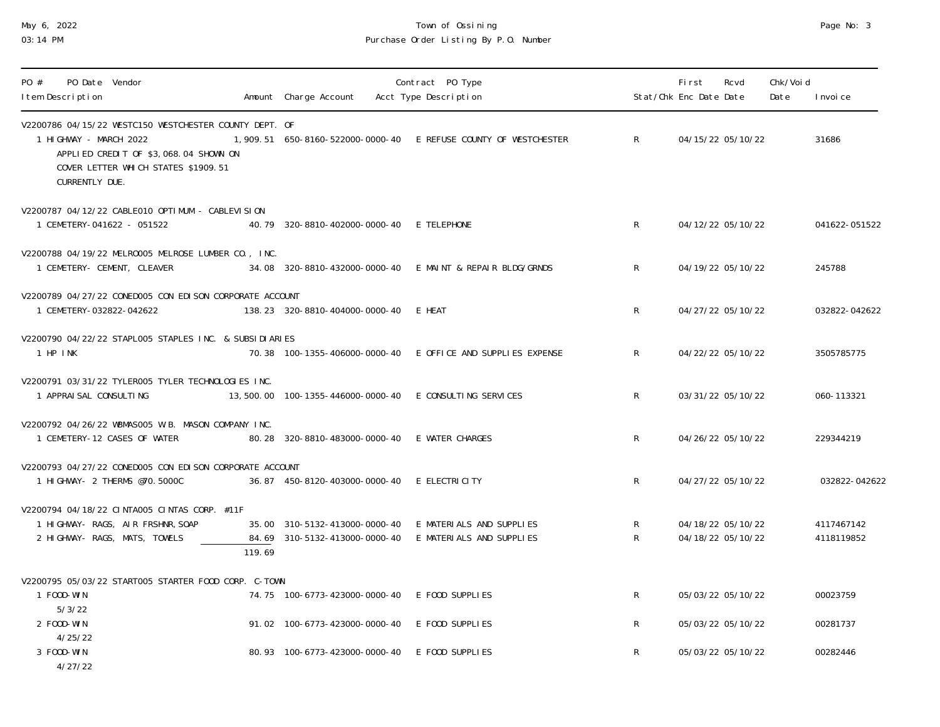# May 6, 2022 Town of Ossining Page No: 3 03:14 PM PURCHASE Order Listing By P.O. Number

Amount Charge Account Acct Type Description Stat/Chk Enc Date Date Date Invoice

PO # PO Date Vendor Contract PO Type First Rcvd Chk/Void

| V2200786 04/15/22 WESTC150 WESTCHESTER COUNTY DEPT. OF<br>1 HIGHWAY - MARCH 2022<br>APPLIED CREDIT OF \$3,068.04 SHOWN ON<br>COVER LETTER WHICH STATES \$1909.51<br>CURRENTLY DUE. |                                                                                                                  | 1,909.51 650-8160-522000-0000-40 E REFUSE COUNTY OF WESTCHESTER | R                 | 04/15/22 05/10/22                      | 31686                    |
|------------------------------------------------------------------------------------------------------------------------------------------------------------------------------------|------------------------------------------------------------------------------------------------------------------|-----------------------------------------------------------------|-------------------|----------------------------------------|--------------------------|
| V2200787 04/12/22 CABLE010 OPTIMUM - CABLEVISION<br>1 CEMETERY-041622 - 051522                                                                                                     | 40.79 320-8810-402000-0000-40 E TELEPHONE                                                                        |                                                                 | R                 | 04/12/22 05/10/22                      | 041622-051522            |
| V2200788 04/19/22 MELR0005 MELROSE LUMBER CO., INC.<br>1 CEMETERY- CEMENT, CLEAVER                                                                                                 |                                                                                                                  | 34.08 320-8810-432000-0000-40 E MAINT & REPAIR BLDG/GRNDS       | R                 | 04/19/22 05/10/22                      | 245788                   |
| V2200789_04/27/22_CONED005_CON_EDI SON_CORPORATE_ACCOUNT<br>1 CEMETERY-032822-042622                                                                                               | 138.23 320-8810-404000-0000-40 E HEAT                                                                            |                                                                 | R                 | 04/27/22 05/10/22                      | 032822-042622            |
| V2200790 04/22/22 STAPLOO5 STAPLES INC. & SUBSIDIARIES<br>1 HP INK                                                                                                                 |                                                                                                                  | 70.38 100-1355-406000-0000-40 E OFFICE AND SUPPLIES EXPENSE     | R                 | 04/22/22 05/10/22                      | 3505785775               |
| V2200791 03/31/22 TYLER005 TYLER TECHNOLOGIES INC.<br>1 APPRAISAL CONSULTING                                                                                                       | 13,500.00  100-1355-446000-0000-40  E CONSULTING SERVICES                                                        |                                                                 | $\mathsf{R}$      | 03/31/22 05/10/22                      | 060-113321               |
| V2200792 04/26/22 WBMAS005 W.B. MASON COMPANY INC.<br>1 CEMETERY-12 CASES OF WATER                                                                                                 | 80.28 320-8810-483000-0000-40 E WATER CHARGES                                                                    |                                                                 | $\mathsf{R}$      | 04/26/22 05/10/22                      | 229344219                |
| V2200793 04/27/22 CONEDOO5 CON EDISON CORPORATE ACCOUNT<br>1 HIGHWAY- 2 THERMS @70.5000C                                                                                           | 36.87    450-8120-403000-0000-40    E    ELECTRI                              ELECTRI                            |                                                                 | R                 | 04/27/22 05/10/22                      | 032822-042622            |
| V2200794 04/18/22 CINTA005 CINTAS CORP. #11F<br>1 HIGHWAY- RAGS, AIR FRSHNR, SOAP<br>2 HIGHWAY- RAGS, MATS, TOWELS<br>119.69                                                       | 35.00 310-5132-413000-0000-40 E MATERIALS AND SUPPLIES<br>84.69 310-5132-413000-0000-40 E MATERIALS AND SUPPLIES |                                                                 | $\mathsf{R}$<br>R | 04/18/22 05/10/22<br>04/18/22 05/10/22 | 4117467142<br>4118119852 |
| V2200795 05/03/22 START005 STARTER FOOD CORP. C-TOWN                                                                                                                               |                                                                                                                  |                                                                 |                   |                                        |                          |
| 1 F00D-WIN<br>5/3/22                                                                                                                                                               | 74.75 100-6773-423000-0000-40 E F00D SUPPLIES                                                                    |                                                                 | $\mathsf{R}$      | 05/03/22 05/10/22                      | 00023759                 |
| 2 FOOD-WIN                                                                                                                                                                         | 91.02 100-6773-423000-0000-40 E F00D SUPPLIES                                                                    |                                                                 | $\mathsf{R}$      | 05/03/22 05/10/22                      | 00281737                 |
| 4/25/22<br>3 FOOD-WIN<br>4/27/22                                                                                                                                                   | 80.93 100-6773-423000-0000-40 E F00D SUPPLIES                                                                    |                                                                 | $\mathsf{R}$      | 05/03/22 05/10/22                      | 00282446                 |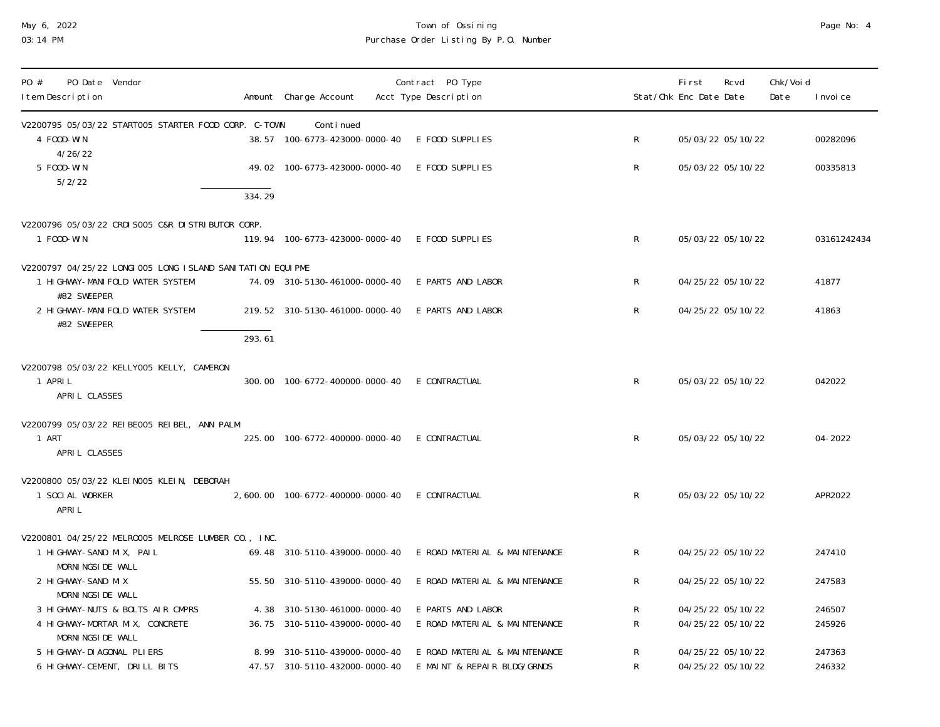# May 6, 2022 Town of Ossining Page No: 4 03:14 PM Purchase Order Listing By P.O. Number

| PO Date Vendor<br>PO #<br>I tem Description                                                         |        | Amount Charge Account                                         | Contract PO Type<br>Acct Type Description                    |              | <b>First</b><br>Rcvd<br>Stat/Chk Enc Date Date | Chk/Voi d<br>I nvoi ce<br>Date |
|-----------------------------------------------------------------------------------------------------|--------|---------------------------------------------------------------|--------------------------------------------------------------|--------------|------------------------------------------------|--------------------------------|
| V2200795 05/03/22 START005 STARTER FOOD CORP. C-TOWN                                                |        | Conti nued                                                    |                                                              |              |                                                |                                |
| 4 FOOD-WIN<br>4/26/22                                                                               |        | 38.57 100-6773-423000-0000-40 E F00D SUPPLIES                 |                                                              | $\mathsf{R}$ | 05/03/22 05/10/22                              | 00282096                       |
| 5 FOOD-WIN<br>5/2/22                                                                                |        | 49.02 100-6773-423000-0000-40 E F00D SUPPLIES                 |                                                              | $\mathsf{R}$ | 05/03/22 05/10/22                              | 00335813                       |
|                                                                                                     | 334.29 |                                                               |                                                              |              |                                                |                                |
| V2200796 05/03/22 CRDI S005 C&R DI STRI BUTOR CORP.                                                 |        |                                                               |                                                              |              |                                                |                                |
| 1 F00D-WIN                                                                                          |        | 119.94 100-6773-423000-0000-40 E F00D SUPPLIES                |                                                              | $\mathsf{R}$ | 05/03/22 05/10/22                              | 03161242434                    |
|                                                                                                     |        |                                                               |                                                              |              |                                                |                                |
| V2200797 04/25/22 LONGI 005 LONG I SLAND SANI TATI ON EQUI PME<br>1 HI GHWAY-MANI FOLD WATER SYSTEM |        | 74.09 310-5130-461000-0000-40 E PARTS AND LABOR               |                                                              | $\mathsf{R}$ | 04/25/22 05/10/22                              | 41877                          |
| #82 SWEEPER                                                                                         |        |                                                               |                                                              |              |                                                |                                |
| 2 HI GHWAY-MANI FOLD WATER SYSTEM                                                                   |        | 219.52 310-5130-461000-0000-40 E PARTS AND LABOR              |                                                              | $\mathsf{R}$ | 04/25/22 05/10/22                              | 41863                          |
| #82 SWEEPER                                                                                         | 293.61 |                                                               |                                                              |              |                                                |                                |
|                                                                                                     |        |                                                               |                                                              |              |                                                |                                |
| V2200798 05/03/22 KELLY005 KELLY, CAMERON<br>1 APRIL<br>APRIL CLASSES                               |        | 300.00  100-6772-400000-0000-40  E CONTRACTUAL                |                                                              | $\mathsf{R}$ | 05/03/22 05/10/22                              | 042022                         |
| V2200799 05/03/22 REIBE005 REIBEL, ANN PALM                                                         |        |                                                               |                                                              |              |                                                |                                |
| 1 ART                                                                                               |        | 225.00  100-6772-400000-0000-40  E CONTRACTUAL                |                                                              | $\mathsf{R}$ | 05/03/22 05/10/22                              | 04-2022                        |
| APRIL CLASSES                                                                                       |        |                                                               |                                                              |              |                                                |                                |
| V2200800 05/03/22 KLEIN005 KLEIN, DEBORAH                                                           |        |                                                               |                                                              |              |                                                |                                |
| 1 SOCIAL WORKER                                                                                     |        | 2,600.00  100-6772-400000-0000-40  E CONTRACTUAL              |                                                              | $\mathsf{R}$ | 05/03/22 05/10/22                              | APR2022                        |
| APRI L                                                                                              |        |                                                               |                                                              |              |                                                |                                |
| V2200801 04/25/22 MELR0005 MELROSE LUMBER CO., INC.                                                 |        |                                                               |                                                              |              |                                                |                                |
| 1 HIGHWAY-SAND MIX, PAIL                                                                            |        | 69.48 310-5110-439000-0000-40                                 | E ROAD MATERIAL & MAINTENANCE                                | $\mathsf{R}$ | 04/25/22 05/10/22                              | 247410                         |
| MORNI NGSI DE WALL                                                                                  |        |                                                               |                                                              |              |                                                |                                |
| 2 HI GHWAY-SAND MIX<br>MORNI NGSI DE WALL                                                           |        | 55.50 310-5110-439000-0000-40                                 | E ROAD MATERIAL & MAINTENANCE                                | R            | 04/25/22 05/10/22                              | 247583                         |
| 3 HIGHWAY-NUTS & BOLTS AIR CMPRS                                                                    |        | 4.38 310-5130-461000-0000-40                                  | E PARTS AND LABOR                                            | R            | 04/25/22 05/10/22                              | 246507                         |
| 4 HIGHWAY-MORTAR MIX, CONCRETE                                                                      |        | 36.75 310-5110-439000-0000-40                                 | E ROAD MATERIAL & MAINTENANCE                                | $\mathsf{R}$ | 04/25/22 05/10/22                              | 245926                         |
| MORNI NGSI DE WALL                                                                                  |        |                                                               |                                                              |              |                                                |                                |
| 5 HI GHWAY-DI AGONAL PLI ERS<br>6 HIGHWAY-CEMENT, DRILL BITS                                        |        | 8.99 310-5110-439000-0000-40<br>47.57 310-5110-432000-0000-40 | E ROAD MATERIAL & MAINTENANCE<br>E MAINT & REPAIR BLDG/GRNDS | R<br>R       | 04/25/22 05/10/22<br>04/25/22 05/10/22         | 247363<br>246332               |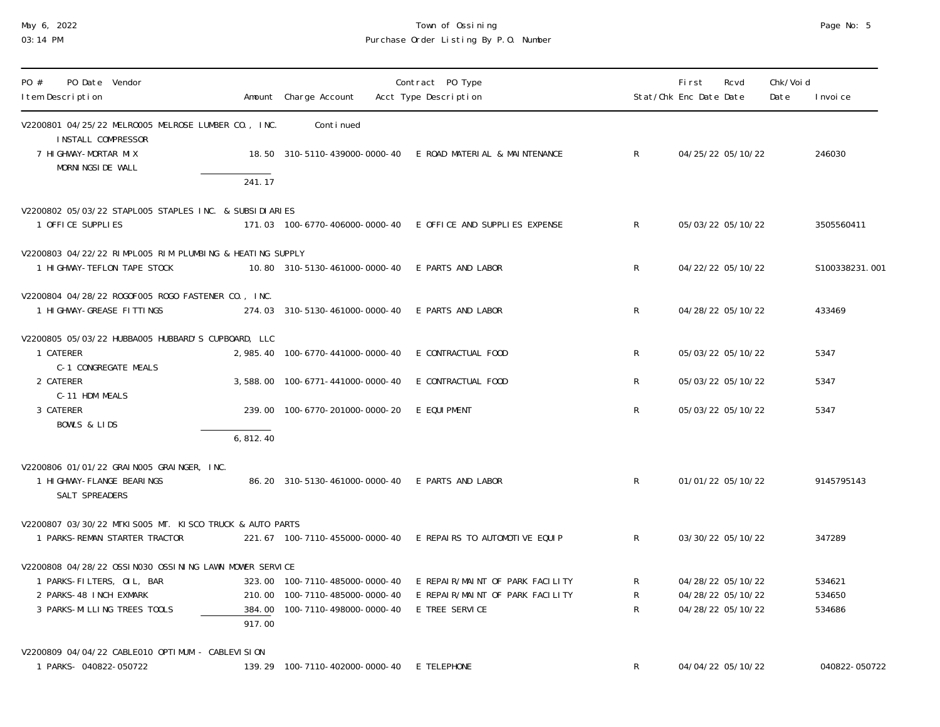#### May 6, 2022 Town of Ossining Page No: 5 03:14 PM Purchase Order Listing By P.O. Number

| Page No: |  | - 5 |
|----------|--|-----|
|----------|--|-----|

| PO Date Vendor<br>PO #<br>I tem Description                                                 |           | Amount Charge Account                            | Contract PO Type<br>Acct Type Description                      |                           | First<br>Stat/Chk Enc Date Date | Rcvd | Chk/Voi d<br>Date | I nvoi ce      |
|---------------------------------------------------------------------------------------------|-----------|--------------------------------------------------|----------------------------------------------------------------|---------------------------|---------------------------------|------|-------------------|----------------|
| V2200801 04/25/22 MELR0005 MELROSE LUMBER CO., INC.<br>INSTALL COMPRESSOR                   |           | Conti nued                                       |                                                                |                           |                                 |      |                   |                |
| 7 HI GHWAY-MORTAR MIX<br>MORNI NGSI DE WALL                                                 |           |                                                  | 18.50 310-5110-439000-0000-40 E ROAD MATERIAL & MAINTENANCE    | $\mathsf{R}$              | 04/25/22 05/10/22               |      |                   | 246030         |
|                                                                                             | 241.17    |                                                  |                                                                |                           |                                 |      |                   |                |
| V2200802 05/03/22 STAPLOO5 STAPLES INC. & SUBSIDIARIES                                      |           |                                                  |                                                                |                           |                                 |      |                   |                |
| 1 OFFICE SUPPLIES                                                                           |           |                                                  | 171.03 100-6770-406000-0000-40 E OFFICE AND SUPPLIES EXPENSE   | $\mathsf{R}$              | 05/03/22 05/10/22               |      |                   | 3505560411     |
| V2200803 04/22/22 RIMPLOO5 RIM PLUMBING & HEATING SUPPLY<br>1 HIGHWAY-TEFLON TAPE STOCK     |           | 10.80 310-5130-461000-0000-40 E PARTS AND LABOR  |                                                                | R                         | 04/22/22 05/10/22               |      |                   | S100338231.001 |
| V2200804 04/28/22 R0G0F005 R0G0 FASTENER CO., INC.<br>1 HIGHWAY-GREASE FITTINGS             |           | 274.03 310-5130-461000-0000-40 E PARTS AND LABOR |                                                                | R                         | 04/28/22 05/10/22               |      |                   | 433469         |
| V2200805 05/03/22 HUBBA005 HUBBARD'S CUPBOARD, LLC                                          |           |                                                  |                                                                |                           |                                 |      |                   |                |
| 1 CATERER<br>C-1 CONGREGATE MEALS                                                           |           | 2, 985.40 100-6770-441000-0000-40                | E CONTRACTUAL FOOD                                             | R                         | 05/03/22 05/10/22               |      |                   | 5347           |
| 2 CATERER                                                                                   |           | 3,588.00 100-6771-441000-0000-40                 | E CONTRACTUAL FOOD                                             | R                         | 05/03/22 05/10/22               |      |                   | 5347           |
| C-11 HDM MEALS<br>3 CATERER                                                                 |           | 239.00 100-6770-201000-0000-20                   | E EQUI PMENT                                                   | R                         | 05/03/22 05/10/22               |      |                   | 5347           |
| <b>BOWLS &amp; LIDS</b>                                                                     |           |                                                  |                                                                |                           |                                 |      |                   |                |
|                                                                                             | 6, 812.40 |                                                  |                                                                |                           |                                 |      |                   |                |
| V2200806 01/01/22 GRAI NO05 GRAI NGER, INC.<br>1 HI GHWAY-FLANGE BEARINGS<br>SALT SPREADERS |           | 86.20 310-5130-461000-0000-40 E PARTS AND LABOR  |                                                                | $\mathsf{R}$              | 01/01/22 05/10/22               |      |                   | 9145795143     |
| V2200807 03/30/22 MTKI S005 MT. KI SCO TRUCK & AUTO PARTS                                   |           |                                                  |                                                                |                           |                                 |      |                   |                |
| 1 PARKS-REMAN STARTER TRACTOR                                                               |           |                                                  | 221.67 100-7110-455000-0000-40 E REPAIRS TO AUTOMOTIVE EQUIP   | $\mathsf{R}$              | 03/30/22 05/10/22               |      |                   | 347289         |
| V2200808 04/28/22 OSSI N030 OSSI NI NG LAWN MOWER SERVICE                                   |           |                                                  |                                                                |                           |                                 |      |                   |                |
| 1 PARKS-FILTERS, OIL, BAR                                                                   |           |                                                  | 323.00 100-7110-485000-0000-40 E REPAIR/MAINT OF PARK FACILITY | R                         | 04/28/22 05/10/22               |      |                   | 534621         |
| 2 PARKS-48 INCH EXMARK                                                                      |           | 210.00 100-7110-485000-0000-40                   | E REPAIR/MAINT OF PARK FACILITY                                | ${\sf R}$<br>$\mathsf{R}$ | 04/28/22 05/10/22               |      |                   | 534650         |
| 3 PARKS-MILLING TREES TOOLS                                                                 | 917.00    | 384.00  100-7110-498000-0000-40                  | E TREE SERVICE                                                 |                           | 04/28/22 05/10/22               |      |                   | 534686         |
| V2200809 04/04/22 CABLE010 OPTIMUM - CABLEVISION                                            |           |                                                  |                                                                |                           |                                 |      |                   |                |
| 1 PARKS- 040822-050722                                                                      |           | 139.29 100-7110-402000-0000-40 E TELEPHONE       |                                                                | R                         | 04/04/22 05/10/22               |      |                   | 040822-050722  |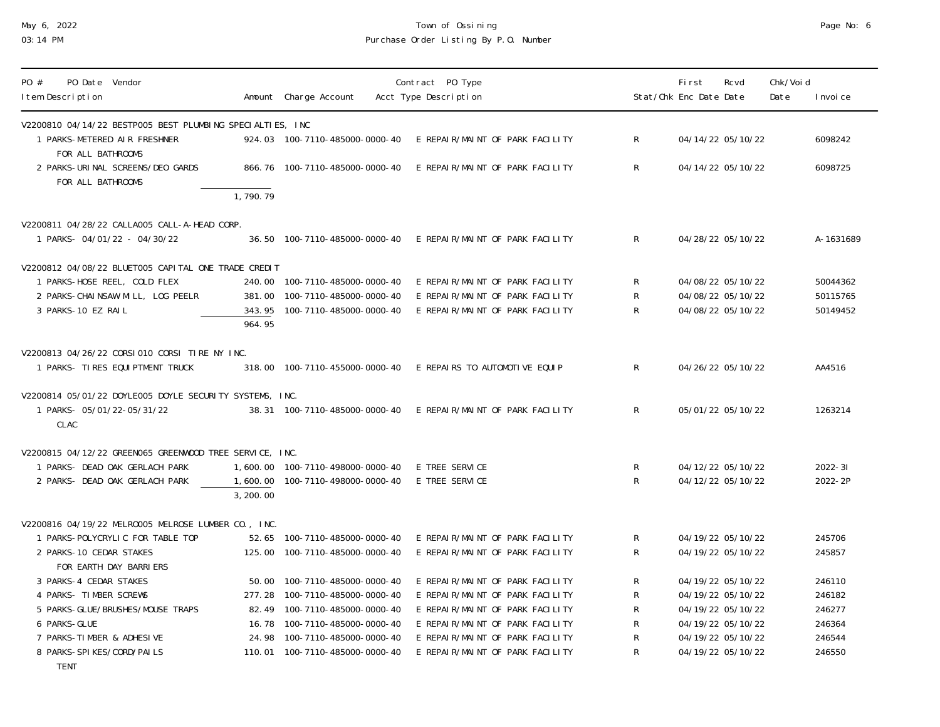# May 6, 2022 Town of Ossining Page No: 6 03:14 PM Purchase Order Listing By P.O. Number

| PO Date Vendor<br>PO #<br>I tem Description                                               |           | Amount Charge Account            | Contract PO Type<br>Acct Type Description                     |              | <b>First</b><br>Rcvd<br>Stat/Chk Enc Date Date | Chk/Voi d<br>Date | I nvoi ce   |
|-------------------------------------------------------------------------------------------|-----------|----------------------------------|---------------------------------------------------------------|--------------|------------------------------------------------|-------------------|-------------|
| V2200810 04/14/22 BESTP005 BEST PLUMBING SPECIALTIES, INC                                 |           |                                  |                                                               |              |                                                |                   |             |
| 1 PARKS-METERED AIR FRESHNER<br>FOR ALL BATHROOMS                                         |           | 924.03 100-7110-485000-0000-40   | E REPAIR/MAINT OF PARK FACILITY                               | $\mathsf{R}$ | 04/14/22 05/10/22                              |                   | 6098242     |
| 2 PARKS-URINAL SCREENS/DEO GARDS<br>FOR ALL BATHROOMS                                     | 1,790.79  | 866.76 100-7110-485000-0000-40   | E REPAIR/MAINT OF PARK FACILITY                               | R            | 04/14/22 05/10/22                              |                   | 6098725     |
|                                                                                           |           |                                  |                                                               |              |                                                |                   |             |
| V2200811 04/28/22 CALLA005 CALL-A-HEAD CORP.<br>1 PARKS- 04/01/22 - 04/30/22              |           |                                  | 36.50 100-7110-485000-0000-40 E REPAIR/MAINT OF PARK FACILITY | $\mathsf{R}$ | 04/28/22 05/10/22                              |                   | A-1631689   |
| V2200812 04/08/22 BLUET005 CAPITAL ONE TRADE CREDIT                                       |           |                                  |                                                               |              |                                                |                   |             |
| 1 PARKS-HOSE REEL, COLD FLEX                                                              |           | 240.00 100-7110-485000-0000-40   | E REPAIR/MAINT OF PARK FACILITY                               | R            | 04/08/22 05/10/22                              |                   | 50044362    |
| 2 PARKS-CHAINSAW MILL, LOG PEELR                                                          |           | 381.00 100-7110-485000-0000-40   | E REPAIR/MAINT OF PARK FACILITY                               | ${\sf R}$    | 04/08/22 05/10/22                              |                   | 50115765    |
| 3 PARKS-10 EZ RAIL                                                                        | 964.95    | 343.95 100-7110-485000-0000-40   | E REPAIR/MAINT OF PARK FACILITY                               | $\mathsf{R}$ | 04/08/22 05/10/22                              |                   | 50149452    |
| V2200813 04/26/22 CORSI 010 CORSI TIRE NY INC.                                            |           |                                  |                                                               |              |                                                |                   |             |
| 1 PARKS- TIRES EQUIPTMENT TRUCK                                                           |           | 318.00 100-7110-455000-0000-40   | E REPAIRS TO AUTOMOTIVE EQUIP                                 | $\mathsf{R}$ | 04/26/22 05/10/22                              |                   | AA4516      |
| V2200814 05/01/22 DOYLE005 DOYLE SECURITY SYSTEMS, INC.<br>1 PARKS- 05/01/22-05/31/22     |           | 38.31 100-7110-485000-0000-40    | E REPAIR/MAINT OF PARK FACILITY                               | $\mathsf{R}$ | 05/01/22 05/10/22                              |                   | 1263214     |
| CLAC                                                                                      |           |                                  |                                                               |              |                                                |                   |             |
|                                                                                           |           |                                  |                                                               |              |                                                |                   |             |
| V2200815 04/12/22 GREEN065 GREENWOOD TREE SERVICE, INC.<br>1 PARKS- DEAD OAK GERLACH PARK |           | 1,600.00 100-7110-498000-0000-40 | E TREE SERVICE                                                | R            | 04/12/22 05/10/22                              |                   | $2022 - 31$ |
| 2 PARKS- DEAD OAK GERLACH PARK                                                            |           | 1,600.00 100-7110-498000-0000-40 | E TREE SERVICE                                                | $\mathsf{R}$ | 04/12/22 05/10/22                              |                   | 2022-2P     |
|                                                                                           | 3, 200.00 |                                  |                                                               |              |                                                |                   |             |
| V2200816 04/19/22 MELR0005 MELROSE LUMBER CO., INC.                                       |           |                                  |                                                               |              |                                                |                   |             |
| 1 PARKS-POLYCRYLIC FOR TABLE TOP                                                          |           | 52.65 100-7110-485000-0000-40    | E REPAIR/MAINT OF PARK FACILITY                               | R            | 04/19/22 05/10/22                              |                   | 245706      |
| 2 PARKS-10 CEDAR STAKES                                                                   |           | 125.00 100-7110-485000-0000-40   | E REPAIR/MAINT OF PARK FACILITY                               | R            | 04/19/22 05/10/22                              |                   | 245857      |
| FOR EARTH DAY BARRIERS                                                                    |           |                                  |                                                               |              |                                                |                   |             |
| 3 PARKS-4 CEDAR STAKES                                                                    |           | 50.00  100-7110-485000-0000-40   | E REPAIR/MAINT OF PARK FACILITY                               | R            | 04/19/22 05/10/22                              |                   | 246110      |
| 4 PARKS- TIMBER SCREWS                                                                    |           | 277.28 100-7110-485000-0000-40   | E REPAIR/MAINT OF PARK FACILITY                               | R            | 04/19/22 05/10/22                              |                   | 246182      |
| 5 PARKS-GLUE/BRUSHES/MOUSE TRAPS                                                          |           | 82.49 100-7110-485000-0000-40    | E REPAIR/MAINT OF PARK FACILITY                               | R            | 04/19/22 05/10/22                              |                   | 246277      |
| 6 PARKS-GLUE                                                                              |           | 16.78  100-7110-485000-0000-40   | E REPAIR/MAINT OF PARK FACILITY                               | R            | 04/19/22 05/10/22                              |                   | 246364      |
| 7 PARKS-TIMBER & ADHESIVE                                                                 |           | 24.98 100-7110-485000-0000-40    | E REPAIR/MAINT OF PARK FACILITY                               | ${\sf R}$    | 04/19/22 05/10/22                              |                   | 246544      |
| 8 PARKS-SPI KES/CORD/PAILS                                                                |           | 110.01  100-7110-485000-0000-40  | E REPAIR/MAINT OF PARK FACILITY                               | ${\sf R}$    | 04/19/22 05/10/22                              |                   | 246550      |

TENT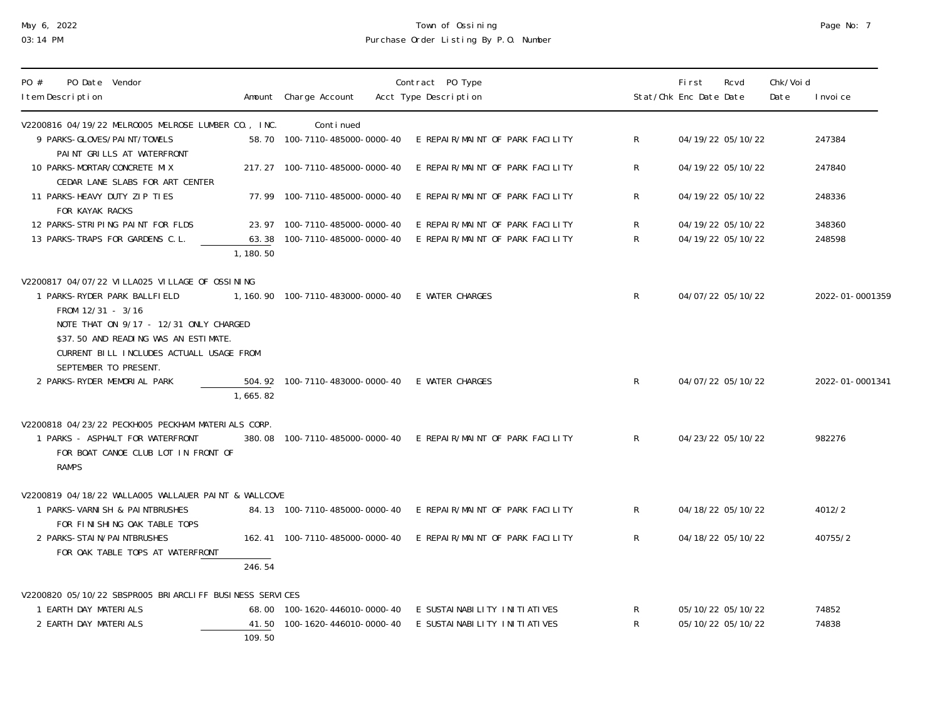# May 6, 2022 Town of Ossining Page No: 7 03:14 PM Purchase Order Listing By P.O. Number

| Page No: |  |
|----------|--|
|          |  |

| PO Date Vendor<br>PO #<br>I tem Description                                                                                                         |          | Amount Charge Account               | Contract PO Type<br>Acct Type Description                        |              | First<br>Stat/Chk Enc Date Date | Rcvd              | Chk/Voi d<br>Date | I nvoi ce       |
|-----------------------------------------------------------------------------------------------------------------------------------------------------|----------|-------------------------------------|------------------------------------------------------------------|--------------|---------------------------------|-------------------|-------------------|-----------------|
| V2200816 04/19/22 MELR0005 MELR0SE LUMBER CO., INC.                                                                                                 |          | Continued                           |                                                                  |              |                                 |                   |                   |                 |
| 9 PARKS-GLOVES/PAINT/TOWELS<br>PAINT GRILLS AT WATERFRONT                                                                                           |          | 58.70 100-7110-485000-0000-40       | E REPAIR/MAINT OF PARK FACILITY                                  | R.           |                                 | 04/19/22 05/10/22 |                   | 247384          |
| 10 PARKS-MORTAR/CONCRETE MIX<br>CEDAR LANE SLABS FOR ART CENTER                                                                                     |          | 217.27 100-7110-485000-0000-40      | E REPAIR/MAINT OF PARK FACILITY                                  | R.           |                                 | 04/19/22 05/10/22 |                   | 247840          |
| 11 PARKS-HEAVY DUTY ZIP TIES<br>FOR KAYAK RACKS                                                                                                     |          | 77.99 100-7110-485000-0000-40       | E REPAIR/MAINT OF PARK FACILITY                                  | R.           |                                 | 04/19/22 05/10/22 |                   | 248336          |
| 12 PARKS-STRIPING PAINT FOR FLDS                                                                                                                    |          | 23.97 100-7110-485000-0000-40       | E REPAIR/MAINT OF PARK FACILITY                                  | R            |                                 | 04/19/22 05/10/22 |                   | 348360          |
| 13 PARKS-TRAPS FOR GARDENS C.L.                                                                                                                     | 1,180.50 | 63.38 100-7110-485000-0000-40       | E REPAIR/MAINT OF PARK FACILITY                                  | $\mathsf{R}$ |                                 | 04/19/22 05/10/22 |                   | 248598          |
| V2200817 04/07/22 VILLA025 VILLAGE OF OSSINING                                                                                                      |          |                                     |                                                                  |              |                                 |                   |                   |                 |
| 1 PARKS-RYDER PARK BALLFIELD<br>FROM 12/31 - 3/16                                                                                                   |          | 1, 160. 90  100-7110-483000-0000-40 | E WATER CHARGES                                                  | $\mathsf{R}$ |                                 | 04/07/22 05/10/22 |                   | 2022-01-0001359 |
| NOTE THAT ON 9/17 - 12/31 ONLY CHARGED<br>\$37.50 AND READING WAS AN ESTIMATE.<br>CURRENT BILL INCLUDES ACTUALL USAGE FROM<br>SEPTEMBER TO PRESENT. |          |                                     |                                                                  |              |                                 |                   |                   |                 |
| 2 PARKS-RYDER MEMORIAL PARK                                                                                                                         | 1,665.82 | 504.92  100-7110-483000-0000-40     | E WATER CHARGES                                                  | $\mathsf{R}$ |                                 | 04/07/22 05/10/22 |                   | 2022-01-0001341 |
| V2200818 04/23/22 PECKH005 PECKHAM MATERIALS CORP.                                                                                                  |          |                                     |                                                                  |              |                                 |                   |                   |                 |
| 1 PARKS - ASPHALT FOR WATERFRONT<br>FOR BOAT CANOE CLUB LOT IN FRONT OF<br><b>RAMPS</b>                                                             |          | 380.08 100-7110-485000-0000-40      | E REPAIR/MAINT OF PARK FACILITY                                  | $\mathsf{R}$ |                                 | 04/23/22 05/10/22 |                   | 982276          |
| V2200819 04/18/22 WALLA005 WALLAUER PAINT & WALLCOVE                                                                                                |          |                                     |                                                                  |              |                                 |                   |                   |                 |
| 1 PARKS-VARNISH & PAINTBRUSHES<br>FOR FINISHING OAK TABLE TOPS                                                                                      |          | 84.13 100-7110-485000-0000-40       | E REPAIR/MAINT OF PARK FACILITY                                  | $\mathsf{R}$ |                                 | 04/18/22 05/10/22 |                   | 4012/2          |
| 2 PARKS-STAIN/PAINTBRUSHES                                                                                                                          |          |                                     | 162.41  100-7110-485000-0000-40  E REPAIR/MAINT OF PARK FACILITY | $\mathsf{R}$ |                                 | 04/18/22 05/10/22 |                   | 40755/2         |
| FOR OAK TABLE TOPS AT WATERFRONT                                                                                                                    | 246.54   |                                     |                                                                  |              |                                 |                   |                   |                 |
| V2200820 05/10/22 SBSPR005 BRIARCLIFF BUSINESS SERVICES                                                                                             |          |                                     |                                                                  |              |                                 |                   |                   |                 |
| 1 EARTH DAY MATERIALS                                                                                                                               |          | 68.00  100-1620-446010-0000-40      | E SUSTAI NABI LI TY I NI TI ATI VES                              | R            |                                 | 05/10/22 05/10/22 |                   | 74852           |
| 2 EARTH DAY MATERIALS                                                                                                                               | 109.50   | 41.50 100-1620-446010-0000-40       | E SUSTAI NABI LI TY I NI TI ATI VES                              | R            |                                 | 05/10/22 05/10/22 |                   | 74838           |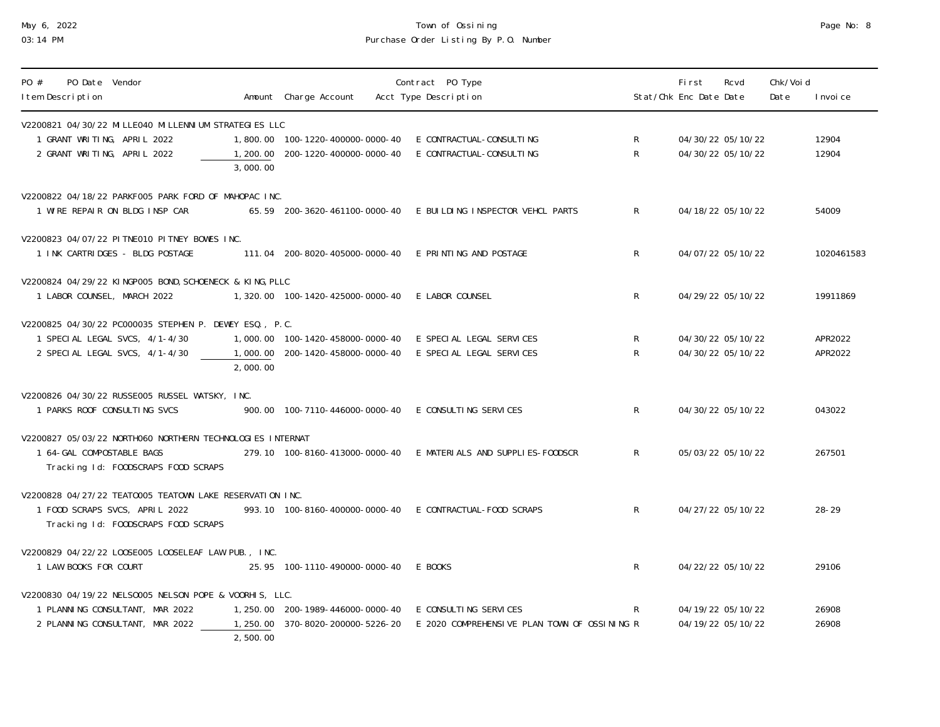# May 6, 2022 Town of Ossining Page No: 8 03:14 PM Purchase Order Listing By P.O. Number

| Page No: |  | 8 |
|----------|--|---|
|----------|--|---|

| PO Date Vendor<br>PO #<br>I tem Description                                                                                       |          | Amount Charge Account                                     | Contract PO Type<br>Acct Type Description                                                                                    |                              | <b>First</b><br>Stat/Chk Enc Date Date | Rcvd                                   | Chk/Voi d<br>Date | I nvoi ce          |
|-----------------------------------------------------------------------------------------------------------------------------------|----------|-----------------------------------------------------------|------------------------------------------------------------------------------------------------------------------------------|------------------------------|----------------------------------------|----------------------------------------|-------------------|--------------------|
| V2200821_04/30/22_MI LLE040_MI LLENNI UM_STRATEGI ES_LLC<br>1 GRANT WRITING, APRIL 2022<br>2 GRANT WRITING, APRIL 2022            | 3,000.00 |                                                           | 1,800.00  100-1220-400000-0000-40  E CONTRACTUAL-CONSULTING<br>1, 200. 00  200-1220-400000-0000-40  E CONTRACTUAL-CONSULTING | $\mathsf{R}$<br>$\mathsf{R}$ |                                        | 04/30/22 05/10/22<br>04/30/22 05/10/22 |                   | 12904<br>12904     |
| V2200822 04/18/22 PARKF005 PARK FORD OF MAHOPAC INC.<br>1 WIRE REPAIR ON BLDG INSP CAR                                            |          |                                                           | 65.59 200-3620-461100-0000-40 E BUILDING INSPECTOR VEHCL PARTS                                                               | $\mathsf{R}$                 |                                        | 04/18/22 05/10/22                      |                   | 54009              |
| V2200823 04/07/22 PI TNE010 PI TNEY BOWES INC.<br>1 INK CARTRIDGES - BLDG POSTAGE                                                 |          | 111.04 200-8020-405000-0000-40 E PRINTING AND POSTAGE     |                                                                                                                              | $\mathsf{R}$                 |                                        | 04/07/22 05/10/22                      |                   | 1020461583         |
| V2200824 04/29/22 KINGP005 BOND, SCHOENECK & KING, PLLC<br>1 LABOR COUNSEL, MARCH 2022                                            |          | 1,320.00  100-1420-425000-0000-40  E LABOR COUNSEL        |                                                                                                                              | $\mathsf{R}$                 |                                        | 04/29/22 05/10/22                      |                   | 19911869           |
| V2200825 04/30/22 PC000035 STEPHEN P. DEWEY ESQ., P.C.<br>1 SPECIAL LEGAL SVCS, 4/1-4/30<br>2 SPECIAL LEGAL SVCS, 4/1-4/30        | 2,000.00 |                                                           | 1,000.00  100-1420-458000-0000-40  E SPECIAL LEGAL SERVICES<br>1,000.00 200-1420-458000-0000-40 E SPECIAL LEGAL SERVICES     | $\mathsf{R}$<br>$\mathsf{R}$ |                                        | 04/30/22 05/10/22<br>04/30/22 05/10/22 |                   | APR2022<br>APR2022 |
| V2200826 04/30/22 RUSSE005 RUSSEL WATSKY, INC.<br>1 PARKS ROOF CONSULTING SVCS                                                    |          | 900.00  100-7110-446000-0000-40  E CONSULTING SERVICES    |                                                                                                                              | $\mathsf{R}$                 |                                        | 04/30/22 05/10/22                      |                   | 043022             |
| V2200827 05/03/22 NORTHO60 NORTHERN TECHNOLOGIES INTERNAT<br>1 64-GAL COMPOSTABLE BAGS<br>Tracking Id: FOODSCRAPS FOOD SCRAPS     |          |                                                           | 279.10 100-8160-413000-0000-40 E MATERIALS AND SUPPLIES-FOODSCR                                                              | $\mathsf{R}$                 |                                        | 05/03/22 05/10/22                      |                   | 267501             |
| V2200828 04/27/22 TEAT0005 TEAT0WN LAKE RESERVATION INC.<br>1 FOOD SCRAPS SVCS, APRIL 2022<br>Tracking Id: FOODSCRAPS FOOD SCRAPS |          |                                                           | 993.10 100-8160-400000-0000-40 E CONTRACTUAL-FOOD SCRAPS                                                                     | $\mathsf{R}$                 |                                        | 04/27/22 05/10/22                      |                   | $28 - 29$          |
| V2200829 04/22/22 LOOSE005 LOOSELEAF LAW PUB., INC.<br>1 LAW BOOKS FOR COURT                                                      |          | 25.95 100-1110-490000-0000-40 EBOOKS                      |                                                                                                                              | $\mathsf{R}$                 |                                        | 04/22/22 05/10/22                      |                   | 29106              |
| V2200830 04/19/22 NELS0005 NELSON POPE & VOORHIS, LLC.<br>1 PLANNING CONSULTANT, MAR 2022<br>2 PLANNING CONSULTANT, MAR 2022      | 2,500.00 | 1, 250.00  200-1989-446000-0000-40  E CONSULTING SERVICES | 1, 250.00 370-8020-200000-5226-20 E 2020 COMPREHENSIVE PLAN TOWN OF OSSINING R                                               | $\mathsf{R}$                 |                                        | 04/19/22 05/10/22<br>04/19/22 05/10/22 |                   | 26908<br>26908     |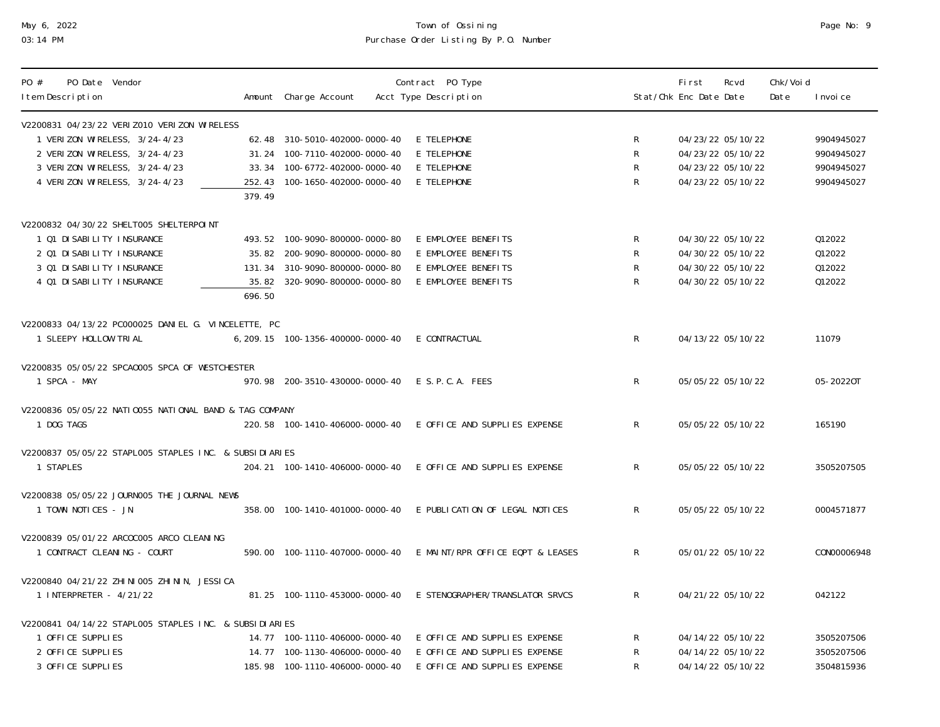# May 6, 2022 Town of Ossining Page No: 9 03:14 PM Purchase Order Listing By P.O. Number

| Page No: |  | 9 |
|----------|--|---|
|----------|--|---|

| PO Date Vendor<br>PO #<br>I tem Description                                                                                                                                       |        | Amount Charge Account                                                                                                              | Contract PO Type<br>Acct Type Description                                                       |                             | First<br>Stat/Chk Enc Date Date | Rcvd                                                                             | Chk/Voi d<br>Date | I nvoi ce                                            |
|-----------------------------------------------------------------------------------------------------------------------------------------------------------------------------------|--------|------------------------------------------------------------------------------------------------------------------------------------|-------------------------------------------------------------------------------------------------|-----------------------------|---------------------------------|----------------------------------------------------------------------------------|-------------------|------------------------------------------------------|
| V2200831 04/23/22 VERI Z010 VERI ZON WIRELESS<br>1 VERIZON WIRELESS, 3/24-4/23<br>2 VERIZON WIRELESS, 3/24-4/23<br>3 VERIZON WIRELESS, 3/24-4/23<br>4 VERIZON WIRELESS, 3/24-4/23 | 379.49 | 62.48 310-5010-402000-0000-40<br>31.24 100-7110-402000-0000-40<br>33.34 100-6772-402000-0000-40<br>252.43 100-1650-402000-0000-40  | E TELEPHONE<br>E TELEPHONE<br>E TELEPHONE<br>E TELEPHONE                                        | R<br>$\mathsf{R}$<br>R<br>R |                                 | 04/23/22 05/10/22<br>04/23/22 05/10/22<br>04/23/22 05/10/22<br>04/23/22 05/10/22 |                   | 9904945027<br>9904945027<br>9904945027<br>9904945027 |
| V2200832 04/30/22 SHELT005 SHELTERPOINT<br>1 01 DI SABI LI TY I NSURANCE<br>2 01 DI SABI LI TY I NSURANCE<br>3 01 DI SABI LI TY I NSURANCE<br>4 Q1 DI SABI LI TY I NSURANCE       | 696.50 | 493.52 100-9090-800000-0000-80<br>35.82 200-9090-800000-0000-80<br>131.34 310-9090-800000-0000-80<br>35.82 320-9090-800000-0000-80 | E EMPLOYEE BENEFITS<br>E EMPLOYEE BENEFITS<br>E EMPLOYEE BENEFITS<br>E EMPLOYEE BENEFITS        | R<br>R<br>R<br>R            |                                 | 04/30/22 05/10/22<br>04/30/22 05/10/22<br>04/30/22 05/10/22<br>04/30/22 05/10/22 |                   | 012022<br>012022<br>012022<br>012022                 |
| V2200833 04/13/22 PC000025 DANIEL G. VINCELETTE, PC<br>1 SLEEPY HOLLOW TRIAL                                                                                                      |        | 6, 209. 15  100-1356-400000-0000-40                                                                                                | E CONTRACTUAL                                                                                   | $R_{\perp}$                 |                                 | 04/13/22 05/10/22                                                                |                   | 11079                                                |
| V2200835 05/05/22 SPCA0005 SPCA OF WESTCHESTER<br>1 SPCA - MAY                                                                                                                    |        | 970.98 200-3510-430000-0000-40 E S.P.C.A. FEES                                                                                     |                                                                                                 | $\mathsf{R}$                |                                 | 05/05/22 05/10/22                                                                |                   | 05-20220T                                            |
| V2200836 05/05/22 NATI 0055 NATI ONAL BAND & TAG COMPANY<br>1 DOG TAGS                                                                                                            |        | 220.58 100-1410-406000-0000-40                                                                                                     | E OFFICE AND SUPPLIES EXPENSE                                                                   | $\mathsf{R}$                |                                 | 05/05/22 05/10/22                                                                |                   | 165190                                               |
| V2200837 05/05/22 STAPLOO5 STAPLES INC. & SUBSIDIARIES<br>1 STAPLES                                                                                                               |        | 204.21  100-1410-406000-0000-40                                                                                                    | E OFFICE AND SUPPLIES EXPENSE                                                                   | R                           |                                 | 05/05/22 05/10/22                                                                |                   | 3505207505                                           |
| V2200838 05/05/22 JOURNOO5 THE JOURNAL NEWS<br>1 TOWN NOTICES - JN                                                                                                                |        | 358.00 100-1410-401000-0000-40                                                                                                     | E PUBLICATION OF LEGAL NOTICES                                                                  | $\mathsf{R}$                |                                 | 05/05/22 05/10/22                                                                |                   | 0004571877                                           |
| V2200839 05/01/22 ARCOCOO5 ARCO CLEANING<br>1 CONTRACT CLEANING - COURT                                                                                                           |        | 590.00  100-1110-407000-0000-40                                                                                                    | E MAINT/RPR OFFICE EQPT & LEASES                                                                | $\mathsf{R}$                |                                 | 05/01/22 05/10/22                                                                |                   | CON00006948                                          |
| V2200840 04/21/22 ZHI NI 005 ZHI NI N, JESSI CA<br>1 INTERPRETER - 4/21/22                                                                                                        |        | 81.25 100-1110-453000-0000-40                                                                                                      | E STENOGRAPHER/TRANSLATOR SRVCS                                                                 | $\mathsf{R}$                |                                 | 04/21/22 05/10/22                                                                |                   | 042122                                               |
| V2200841 04/14/22 STAPLOO5 STAPLES INC. & SUBSIDIARIES<br>1 OFFICE SUPPLIES<br>2 OFFICE SUPPLIES<br>3 OFFICE SUPPLIES                                                             |        | 14.77  100-1110-406000-0000-40<br>14.77  100-1130-406000-0000-40<br>185.98 100-1110-406000-0000-40                                 | E OFFICE AND SUPPLIES EXPENSE<br>E OFFICE AND SUPPLIES EXPENSE<br>E OFFICE AND SUPPLIES EXPENSE | R<br>R<br>R                 |                                 | 04/14/22 05/10/22<br>04/14/22 05/10/22<br>04/14/22 05/10/22                      |                   | 3505207506<br>3505207506<br>3504815936               |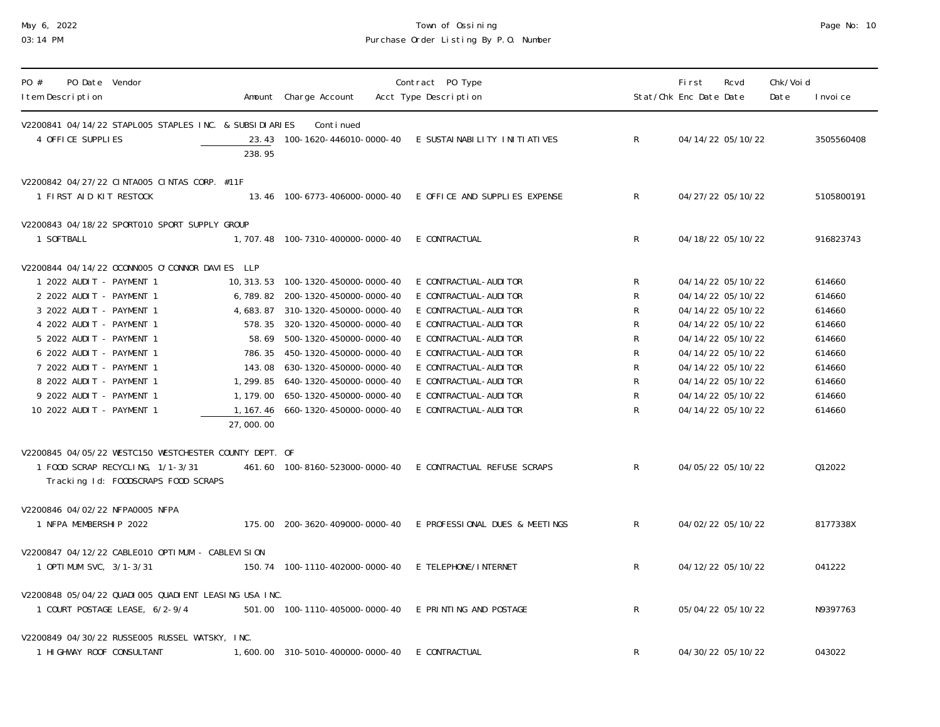# May 6, 2022 Town of Ossining Page No: 10 03:14 PM Purchase Order Listing By P.O. Number

| PO #<br>PO Date Vendor<br>I tem Description                                                                                                                                                                                                                                                                                             |           | Amount Charge Account                                                                                                                                                                                                                                                                                                                                                       | Contract PO Type<br>Acct Type Description                                                                                                                                                                                                                        |                                                                                                                   | First<br>Stat/Chk Enc Date Date | Rcvd                                                                                                                                                                                                           | Chk/Voi d<br>Date | I nvoi ce                                                                                        |
|-----------------------------------------------------------------------------------------------------------------------------------------------------------------------------------------------------------------------------------------------------------------------------------------------------------------------------------------|-----------|-----------------------------------------------------------------------------------------------------------------------------------------------------------------------------------------------------------------------------------------------------------------------------------------------------------------------------------------------------------------------------|------------------------------------------------------------------------------------------------------------------------------------------------------------------------------------------------------------------------------------------------------------------|-------------------------------------------------------------------------------------------------------------------|---------------------------------|----------------------------------------------------------------------------------------------------------------------------------------------------------------------------------------------------------------|-------------------|--------------------------------------------------------------------------------------------------|
| V2200841 04/14/22 STAPLOO5 STAPLES INC. & SUBSIDIARIES<br>4 OFFICE SUPPLIES                                                                                                                                                                                                                                                             | 238.95    | Continued                                                                                                                                                                                                                                                                                                                                                                   | 23.43 100-1620-446010-0000-40 E SUSTAI NABILITY INITIATIVES                                                                                                                                                                                                      | $\mathsf{R}$                                                                                                      |                                 | 04/14/22 05/10/22                                                                                                                                                                                              |                   | 3505560408                                                                                       |
| V2200842 04/27/22 CINTA005 CINTAS CORP. #11F<br>1 FIRST AID KIT RESTOCK                                                                                                                                                                                                                                                                 |           |                                                                                                                                                                                                                                                                                                                                                                             | 13.46 100-6773-406000-0000-40 E OFFICE AND SUPPLIES EXPENSE                                                                                                                                                                                                      | $\mathsf{R}$                                                                                                      |                                 | 04/27/22 05/10/22                                                                                                                                                                                              |                   | 5105800191                                                                                       |
| V2200843 04/18/22 SPORT010 SPORT SUPPLY GROUP<br>1 SOFTBALL                                                                                                                                                                                                                                                                             |           | 1, 707.48  100-7310-400000-0000-40  E CONTRACTUAL                                                                                                                                                                                                                                                                                                                           |                                                                                                                                                                                                                                                                  | $\mathsf{R}$                                                                                                      |                                 | 04/18/22 05/10/22                                                                                                                                                                                              |                   | 916823743                                                                                        |
| V2200844 04/14/22 0CONN005 0'CONNOR DAVIES LLP<br>1 2022 AUDIT - PAYMENT 1<br>2 2022 AUDIT - PAYMENT 1<br>3 2022 AUDIT - PAYMENT 1<br>4 2022 AUDIT - PAYMENT 1<br>5 2022 AUDIT - PAYMENT 1<br>6 2022 AUDIT - PAYMENT 1<br>7 2022 AUDIT - PAYMENT 1<br>8 2022 AUDIT - PAYMENT 1<br>9 2022 AUDIT - PAYMENT 1<br>10 2022 AUDIT - PAYMENT 1 | 27,000.00 | 10, 313. 53  100-1320-450000-0000-40<br>6, 789. 82 200-1320-450000-0000-40<br>4, 683. 87 310-1320-450000-0000-40<br>578.35 320-1320-450000-0000-40<br>58.69 500-1320-450000-0000-40<br>786.35 450-1320-450000-0000-40<br>143.08  630-1320-450000-0000-40<br>1, 299. 85  640-1320-450000-0000-40<br>1, 179.00 650-1320-450000-0000-40<br>1, 167. 46  660-1320-450000-0000-40 | E CONTRACTUAL-AUDI TOR<br>E CONTRACTUAL-AUDI TOR<br>E CONTRACTUAL-AUDI TOR<br>E CONTRACTUAL-AUDI TOR<br>E CONTRACTUAL-AUDI TOR<br>E CONTRACTUAL-AUDI TOR<br>E CONTRACTUAL-AUDI TOR<br>E CONTRACTUAL-AUDI TOR<br>E CONTRACTUAL-AUDI TOR<br>E CONTRACTUAL-AUDI TOR | R<br>R<br>${\sf R}$<br>${\sf R}$<br>${\sf R}$<br>${\sf R}$<br>${\sf R}$<br>${\sf R}$<br>${\sf R}$<br>$\mathsf{R}$ |                                 | 04/14/22 05/10/22<br>04/14/22 05/10/22<br>04/14/22 05/10/22<br>04/14/22 05/10/22<br>04/14/22 05/10/22<br>04/14/22 05/10/22<br>04/14/22 05/10/22<br>04/14/22 05/10/22<br>04/14/22 05/10/22<br>04/14/22 05/10/22 |                   | 614660<br>614660<br>614660<br>614660<br>614660<br>614660<br>614660<br>614660<br>614660<br>614660 |
| V2200845 04/05/22 WESTC150 WESTCHESTER COUNTY DEPT. OF<br>1 FOOD SCRAP RECYCLING, 1/1-3/31<br>Tracking Id: FOODSCRAPS FOOD SCRAPS                                                                                                                                                                                                       |           |                                                                                                                                                                                                                                                                                                                                                                             | 461.60  100-8160-523000-0000-40  E CONTRACTUAL REFUSE SCRAPS                                                                                                                                                                                                     | $\mathsf{R}$                                                                                                      |                                 | 04/05/22 05/10/22                                                                                                                                                                                              |                   | 012022                                                                                           |
| V2200846 04/02/22 NFPA0005 NFPA<br>1 NFPA MEMBERSHIP 2022                                                                                                                                                                                                                                                                               |           |                                                                                                                                                                                                                                                                                                                                                                             | 175.00  200-3620-409000-0000-40  E PROFESSIONAL DUES & MEETINGS                                                                                                                                                                                                  | R                                                                                                                 |                                 | 04/02/22 05/10/22                                                                                                                                                                                              |                   | 8177338X                                                                                         |
| V2200847 04/12/22 CABLE010 OPTIMUM - CABLEVISION<br>1 OPTIMUM SVC, 3/1-3/31                                                                                                                                                                                                                                                             |           | 150.74  100-1110-402000-0000-40  E TELEPHONE/INTERNET                                                                                                                                                                                                                                                                                                                       |                                                                                                                                                                                                                                                                  | R                                                                                                                 |                                 | 04/12/22 05/10/22                                                                                                                                                                                              |                   | 041222                                                                                           |
| V2200848 05/04/22 QUADI 005 QUADI ENT LEASING USA INC.<br>1 COURT POSTAGE LEASE, 6/2-9/4                                                                                                                                                                                                                                                |           |                                                                                                                                                                                                                                                                                                                                                                             |                                                                                                                                                                                                                                                                  | $\mathsf{R}$                                                                                                      |                                 | 05/04/22 05/10/22                                                                                                                                                                                              |                   | N9397763                                                                                         |
| V2200849 04/30/22 RUSSE005 RUSSEL WATSKY, INC.<br>1 HIGHWAY ROOF CONSULTANT                                                                                                                                                                                                                                                             |           | 1,600.00 310-5010-400000-0000-40                                                                                                                                                                                                                                                                                                                                            | E CONTRACTUAL                                                                                                                                                                                                                                                    | R                                                                                                                 |                                 | 04/30/22 05/10/22                                                                                                                                                                                              |                   | 043022                                                                                           |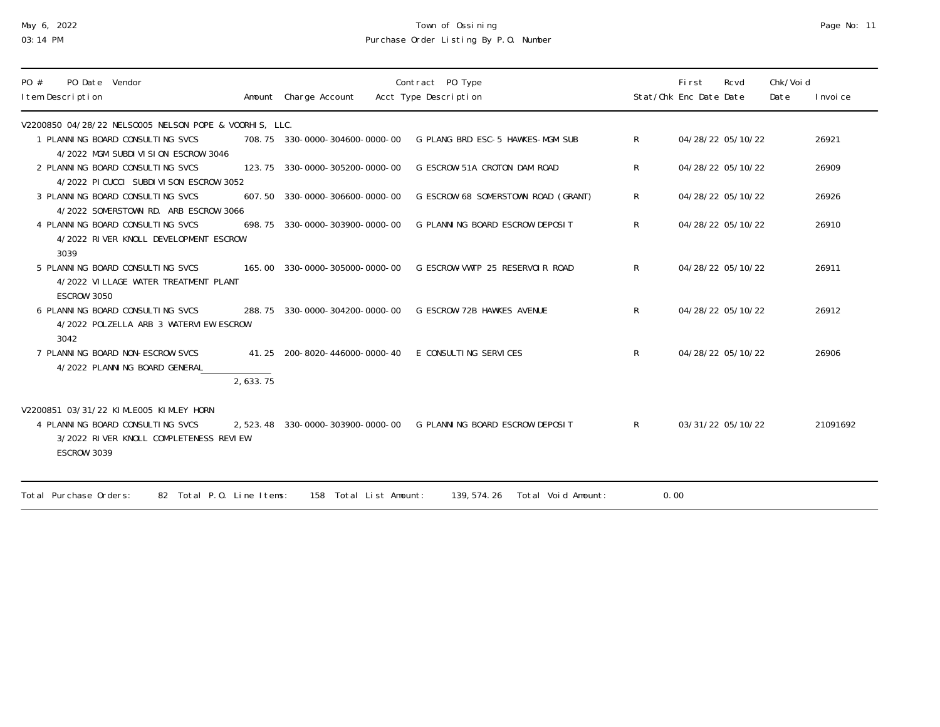# May 6, 2022 Town of Ossining Page No: 11 03:14 PM Purchase Order Listing By P.O. Number

| PO Date Vendor<br>PO #<br>I tem Description                                             |                   | Amount Charge Account          | Contract PO Type<br>Acct Type Description                        |              | First<br>Stat/Chk Enc Date Date | Rcvd | Chk/Voi d<br>Date | I nvoi ce |
|-----------------------------------------------------------------------------------------|-------------------|--------------------------------|------------------------------------------------------------------|--------------|---------------------------------|------|-------------------|-----------|
| V2200850 04/28/22 NELS0005 NELSON POPE & VOORHIS, LLC.                                  |                   |                                |                                                                  |              |                                 |      |                   |           |
| 1 PLANNING BOARD CONSULTING SVCS<br>4/2022 MGM SUBDIVISION ESCROW 3046                  |                   | 708.75 330-0000-304600-0000-00 | G PLANG BRD ESC-5 HAWKES-MGM SUB                                 | $\mathsf{R}$ | 04/28/22 05/10/22               |      |                   | 26921     |
| 2 PLANNING BOARD CONSULTING SVCS<br>4/2022 PICUCCI SUBDIVISON ESCROW 3052               |                   | 123.75 330-0000-305200-0000-00 | G ESCROW-51A CROTON DAM ROAD                                     | R            | 04/28/22 05/10/22               |      |                   | 26909     |
| 3 PLANNING BOARD CONSULTING SVCS<br>4/2022 SOMERSTOWN RD. ARB ESCROW 3066               | 607.50            | 330-0000-306600-0000-00        | G ESCROW 68 SOMERSTOWN ROAD (GRANT)                              | $\mathsf{R}$ | 04/28/22 05/10/22               |      |                   | 26926     |
| 4 PLANNING BOARD CONSULTING SVCS<br>4/2022 RIVER KNOLL DEVELOPMENT ESCROW<br>3039       |                   | 698.75 330-0000-303900-0000-00 | G PLANNING BOARD ESCROW DEPOSIT                                  | $\mathsf{R}$ | 04/28/22 05/10/22               |      |                   | 26910     |
| 5 PLANNING BOARD CONSULTING SVCS<br>4/2022 VILLAGE WATER TREATMENT PLANT<br>ESCROW 3050 | 165,00            | 330-0000-305000-0000-00        | G ESCROW-VWTP 25 RESERVOLR ROAD                                  | $\mathsf{R}$ | 04/28/22 05/10/22               |      |                   | 26911     |
| 6 PLANNING BOARD CONSULTING SVCS<br>4/2022 POLZELLA ARB 3 WATERVIEW ESCROW<br>3042      | 288.75            | 330-0000-304200-0000-00        | G ESCROW-72B HAWKES AVENUE                                       | $\mathsf{R}$ | 04/28/22 05/10/22               |      |                   | 26912     |
| 7 PLANNING BOARD NON-ESCROW SVCS<br>4/2022 PLANNING BOARD GENERAL                       | 41.25<br>2,633.75 | 200-8020-446000-0000-40        | E CONSULTING SERVICES                                            | $\mathsf{R}$ | 04/28/22 05/10/22               |      |                   | 26906     |
| V2200851 03/31/22 KIMLE005 KIMLEY HORN<br>4 PLANNING BOARD CONSULTING SVCS              |                   |                                | 2,523.48 330-0000-303900-0000-00 G PLANNING BOARD ESCROW DEPOSIT | $\mathsf{R}$ | 03/31/22 05/10/22               |      |                   | 21091692  |
| 3/2022 RIVER KNOLL COMPLETENESS REVIEW<br>ESCROW 3039                                   |                   |                                |                                                                  |              |                                 |      |                   |           |